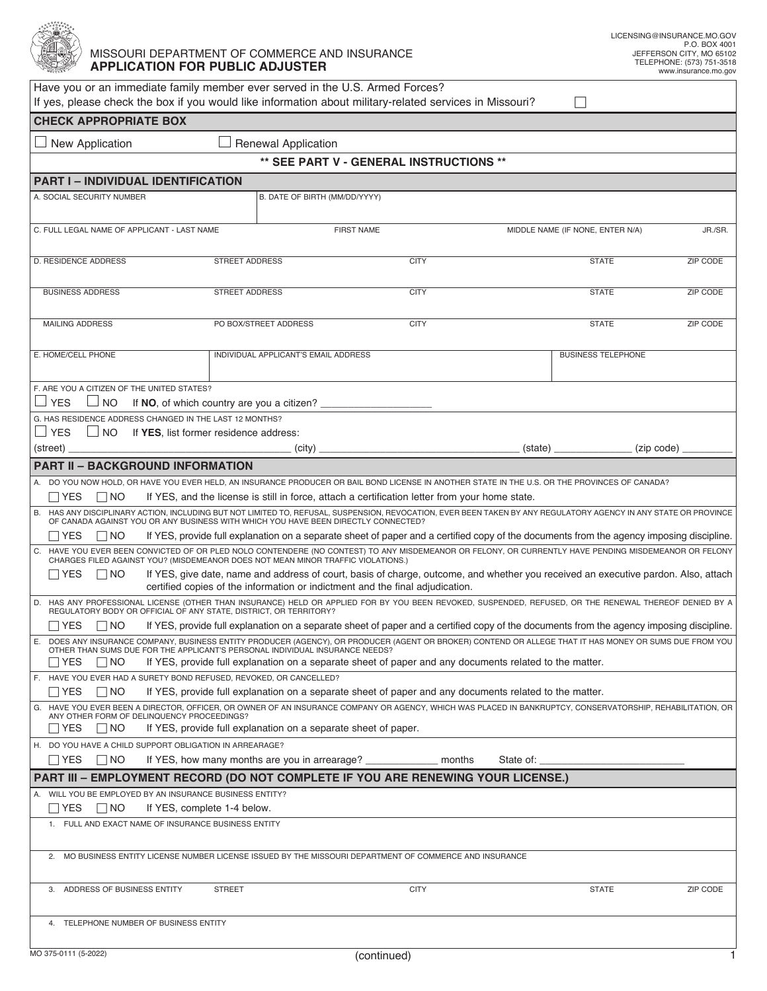

## MISSOURI DEPARTMENT OF COMMERCE AND INSURANCE **APPLICATION FOR PUBLIC ADJUSTER**

| Have you or an immediate family member ever served in the U.S. Armed Forces?                                                                                                                                                                                                                                                                          |                       |                                                                |             |           |                                             |          |  |  |  |  |
|-------------------------------------------------------------------------------------------------------------------------------------------------------------------------------------------------------------------------------------------------------------------------------------------------------------------------------------------------------|-----------------------|----------------------------------------------------------------|-------------|-----------|---------------------------------------------|----------|--|--|--|--|
| If yes, please check the box if you would like information about military-related services in Missouri?<br><b>CHECK APPROPRIATE BOX</b>                                                                                                                                                                                                               |                       |                                                                |             |           |                                             |          |  |  |  |  |
|                                                                                                                                                                                                                                                                                                                                                       |                       |                                                                |             |           |                                             |          |  |  |  |  |
| <b>Renewal Application</b><br>New Application                                                                                                                                                                                                                                                                                                         |                       |                                                                |             |           |                                             |          |  |  |  |  |
| ** SEE PART V - GENERAL INSTRUCTIONS **<br><b>PART I - INDIVIDUAL IDENTIFICATION</b>                                                                                                                                                                                                                                                                  |                       |                                                                |             |           |                                             |          |  |  |  |  |
|                                                                                                                                                                                                                                                                                                                                                       |                       |                                                                |             |           |                                             |          |  |  |  |  |
| A. SOCIAL SECURITY NUMBER                                                                                                                                                                                                                                                                                                                             |                       | B. DATE OF BIRTH (MM/DD/YYYY)                                  |             |           |                                             |          |  |  |  |  |
| C. FULL LEGAL NAME OF APPLICANT - LAST NAME                                                                                                                                                                                                                                                                                                           |                       | <b>FIRST NAME</b>                                              |             |           | MIDDLE NAME (IF NONE, ENTER N/A)<br>JR./SR. |          |  |  |  |  |
|                                                                                                                                                                                                                                                                                                                                                       |                       |                                                                |             |           |                                             |          |  |  |  |  |
| <b>D. RESIDENCE ADDRESS</b>                                                                                                                                                                                                                                                                                                                           | <b>STREET ADDRESS</b> |                                                                | <b>CITY</b> |           | <b>STATE</b>                                | ZIP CODE |  |  |  |  |
|                                                                                                                                                                                                                                                                                                                                                       |                       |                                                                |             |           |                                             |          |  |  |  |  |
| <b>BUSINESS ADDRESS</b>                                                                                                                                                                                                                                                                                                                               | <b>STREET ADDRESS</b> |                                                                | <b>CITY</b> |           | <b>STATE</b>                                | ZIP CODE |  |  |  |  |
|                                                                                                                                                                                                                                                                                                                                                       |                       |                                                                |             |           |                                             |          |  |  |  |  |
| <b>MAILING ADDRESS</b>                                                                                                                                                                                                                                                                                                                                |                       | PO BOX/STREET ADDRESS                                          | <b>CITY</b> |           | <b>STATE</b>                                | ZIP CODE |  |  |  |  |
| E. HOME/CELL PHONE                                                                                                                                                                                                                                                                                                                                    |                       | INDIVIDUAL APPLICANT'S EMAIL ADDRESS                           |             |           | <b>BUSINESS TELEPHONE</b>                   |          |  |  |  |  |
|                                                                                                                                                                                                                                                                                                                                                       |                       |                                                                |             |           |                                             |          |  |  |  |  |
| F. ARE YOU A CITIZEN OF THE UNITED STATES?                                                                                                                                                                                                                                                                                                            |                       |                                                                |             |           |                                             |          |  |  |  |  |
| I I YFS<br>$\Box$ NO                                                                                                                                                                                                                                                                                                                                  |                       | If NO, of which country are you a citizen?                     |             |           |                                             |          |  |  |  |  |
| G. HAS RESIDENCE ADDRESS CHANGED IN THE LAST 12 MONTHS?                                                                                                                                                                                                                                                                                               |                       |                                                                |             |           |                                             |          |  |  |  |  |
| $\Box$ YES<br>$\Box$ NO<br>If YES. list former residence address:                                                                                                                                                                                                                                                                                     |                       |                                                                |             |           |                                             |          |  |  |  |  |
| (street)                                                                                                                                                                                                                                                                                                                                              |                       | (city)                                                         |             | (state)   | (zip code)                                  |          |  |  |  |  |
| <b>PART II - BACKGROUND INFORMATION</b>                                                                                                                                                                                                                                                                                                               |                       |                                                                |             |           |                                             |          |  |  |  |  |
| A. DO YOU NOW HOLD, OR HAVE YOU EVER HELD, AN INSURANCE PRODUCER OR BAIL BOND LICENSE IN ANOTHER STATE IN THE U.S. OR THE PROVINCES OF CANADA?<br>If YES, and the license is still in force, attach a certification letter from your home state.<br>$\Box$ YES<br>$\Box$ NO                                                                           |                       |                                                                |             |           |                                             |          |  |  |  |  |
| B. HAS ANY DISCIPLINARY ACTION, INCLUDING BUT NOT LIMITED TO, REFUSAL, SUSPENSION, REVOCATION, EVER BEEN TAKEN BY ANY REGULATORY AGENCY IN ANY STATE OR PROVINCE                                                                                                                                                                                      |                       |                                                                |             |           |                                             |          |  |  |  |  |
| OF CANADA AGAINST YOU OR ANY BUSINESS WITH WHICH YOU HAVE BEEN DIRECTLY CONNECTED?                                                                                                                                                                                                                                                                    |                       |                                                                |             |           |                                             |          |  |  |  |  |
| If YES, provide full explanation on a separate sheet of paper and a certified copy of the documents from the agency imposing discipline.<br>$\Box$ Yes<br>$\Box$ No<br>C. HAVE YOU EVER BEEN CONVICTED OF OR PLED NOLO CONTENDERE (NO CONTEST) TO ANY MISDEMEANOR OR FELONY, OR CURRENTLY HAVE PENDING MISDEMEANOR OR FELONY                          |                       |                                                                |             |           |                                             |          |  |  |  |  |
| CHARGES FILED AGAINST YOU? (MISDEMEANOR DOES NOT MEAN MINOR TRAFFIC VIOLATIONS.)                                                                                                                                                                                                                                                                      |                       |                                                                |             |           |                                             |          |  |  |  |  |
| If YES, give date, name and address of court, basis of charge, outcome, and whether you received an executive pardon. Also, attach<br>$\Box$ Yes<br>$\Box$ No<br>certified copies of the information or indictment and the final adjudication.                                                                                                        |                       |                                                                |             |           |                                             |          |  |  |  |  |
| D. HAS ANY PROFESSIONAL LICENSE (OTHER THAN INSURANCE) HELD OR APPLIED FOR BY YOU BEEN REVOKED, SUSPENDED, REFUSED, OR THE RENEWAL THEREOF DENIED BY A<br>REGULATORY BODY OR OFFICIAL OF ANY STATE, DISTRICT, OR TERRITORY?                                                                                                                           |                       |                                                                |             |           |                                             |          |  |  |  |  |
| If YES, provide full explanation on a separate sheet of paper and a certified copy of the documents from the agency imposing discipline.<br>$\Box$ YES<br>$\Box$ NO                                                                                                                                                                                   |                       |                                                                |             |           |                                             |          |  |  |  |  |
| DOES ANY INSURANCE COMPANY, BUSINESS ENTITY PRODUCER (AGENCY), OR PRODUCER (AGENT OR BROKER) CONTEND OR ALLEGE THAT IT HAS MONEY OR SUMS DUE FROM YOU<br>Е.<br>OTHER THAN SUMS DUE FOR THE APPLICANT'S PERSONAL INDIVIDUAL INSURANCE NEEDS?<br>If YES, provide full explanation on a separate sheet of paper and any documents related to the matter. |                       |                                                                |             |           |                                             |          |  |  |  |  |
| $\Box$ YES<br>   NO<br>F. HAVE YOU EVER HAD A SURETY BOND REFUSED, REVOKED, OR CANCELLED?                                                                                                                                                                                                                                                             |                       |                                                                |             |           |                                             |          |  |  |  |  |
| $\Box$ YES<br>$\Box$ No<br>If YES, provide full explanation on a separate sheet of paper and any documents related to the matter.                                                                                                                                                                                                                     |                       |                                                                |             |           |                                             |          |  |  |  |  |
| G. HAVE YOU EVER BEEN A DIRECTOR, OFFICER, OR OWNER OF AN INSURANCE COMPANY OR AGENCY, WHICH WAS PLACED IN BANKRUPTCY, CONSERVATORSHIP, REHABILITATION, OR                                                                                                                                                                                            |                       |                                                                |             |           |                                             |          |  |  |  |  |
| ANY OTHER FORM OF DELINQUENCY PROCEEDINGS?<br>$\sqcap$ YES<br>$\Box$ NO                                                                                                                                                                                                                                                                               |                       | If YES, provide full explanation on a separate sheet of paper. |             |           |                                             |          |  |  |  |  |
| H. DO YOU HAVE A CHILD SUPPORT OBLIGATION IN ARREARAGE?                                                                                                                                                                                                                                                                                               |                       |                                                                |             |           |                                             |          |  |  |  |  |
| $\Box$ YES<br>$\square$ NO                                                                                                                                                                                                                                                                                                                            |                       | If YES, how many months are you in arrearage? _____________    | months      | State of: |                                             |          |  |  |  |  |
| PART III - EMPLOYMENT RECORD (DO NOT COMPLETE IF YOU ARE RENEWING YOUR LICENSE.)                                                                                                                                                                                                                                                                      |                       |                                                                |             |           |                                             |          |  |  |  |  |
| A. WILL YOU BE EMPLOYED BY AN INSURANCE BUSINESS ENTITY?                                                                                                                                                                                                                                                                                              |                       |                                                                |             |           |                                             |          |  |  |  |  |
| $\Box$ YES<br>If YES, complete 1-4 below.<br>  INO                                                                                                                                                                                                                                                                                                    |                       |                                                                |             |           |                                             |          |  |  |  |  |
| 1. FULL AND EXACT NAME OF INSURANCE BUSINESS ENTITY                                                                                                                                                                                                                                                                                                   |                       |                                                                |             |           |                                             |          |  |  |  |  |
| 2. MO BUSINESS ENTITY LICENSE NUMBER LICENSE ISSUED BY THE MISSOURI DEPARTMENT OF COMMERCE AND INSURANCE                                                                                                                                                                                                                                              |                       |                                                                |             |           |                                             |          |  |  |  |  |
| 3. ADDRESS OF BUSINESS ENTITY                                                                                                                                                                                                                                                                                                                         | <b>STREET</b>         |                                                                | <b>CITY</b> |           | <b>STATE</b>                                | ZIP CODE |  |  |  |  |
| 4. TELEPHONE NUMBER OF BUSINESS ENTITY                                                                                                                                                                                                                                                                                                                |                       |                                                                |             |           |                                             |          |  |  |  |  |